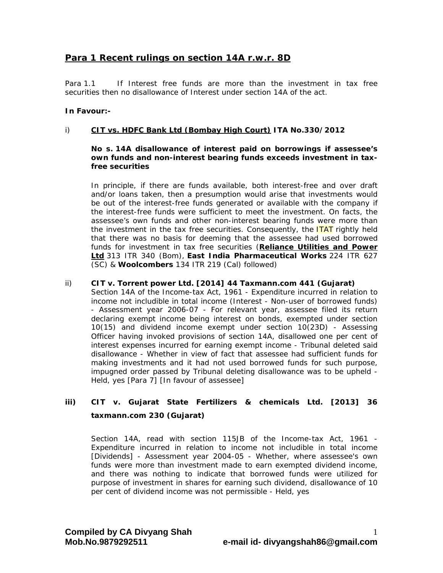# **Para 1 Recent rulings on section 14A r.w.r. 8D**

Para 1.1 If Interest free funds are more than the investment in tax free securities then no disallowance of Interest under section 14A of the act.

## **In Favour:-**

#### i) **CIT vs. HDFC Bank Ltd (Bombay High Court) ITA No.330/2012**

#### **No s. 14A disallowance of interest paid on borrowings if assessee's own funds and non-interest bearing funds exceeds investment in taxfree securities**

In principle, if there are funds available, both interest-free and over draft and/or loans taken, then a presumption would arise that investments would be out of the interest-free funds generated or available with the company if the interest-free funds were sufficient to meet the investment. On facts, the assessee's own funds and other non-interest bearing funds were more than the investment in the tax free securities. Consequently, the **ITAT** rightly held that there was no basis for deeming that the assessee had used borrowed funds for investment in tax free securities (**Reliance Utilities and Power Ltd** 313 ITR 340 (Bom), **East India Pharmaceutical Works** 224 ITR 627 (SC) & **Woolcombers** 134 ITR 219 (Cal) followed)

#### ii) **CIT v. Torrent power Ltd. [2014] 44 Taxmann.com 441 (Gujarat)**

Section 14A of the Income-tax Act, 1961 - Expenditure incurred in relation to income not includible in total income (Interest - Non-user of borrowed funds) - Assessment year 2006-07 - For relevant year, assessee filed its return declaring exempt income being interest on bonds, exempted under section 10(15) and dividend income exempt under section 10(23D) - Assessing Officer having invoked provisions of section 14A, disallowed one per cent of interest expenses incurred for earning exempt income - Tribunal deleted said disallowance - Whether in view of fact that assessee had sufficient funds for making investments and it had not used borrowed funds for such purpose, impugned order passed by Tribunal deleting disallowance was to be upheld - Held, yes [Para 7] [In favour of assessee]

# **iii) CIT v. Gujarat State Fertilizers & chemicals Ltd. [2013] 36 taxmann.com 230 (Gujarat)**

Section 14A, read with section 115JB of the Income-tax Act, 1961 - Expenditure incurred in relation to income not includible in total income [Dividends] - Assessment year 2004-05 - Whether, where assessee's own funds were more than investment made to earn exempted dividend income, and there was nothing to indicate that borrowed funds were utilized for purpose of investment in shares for earning such dividend, disallowance of 10 per cent of dividend income was not permissible - Held, yes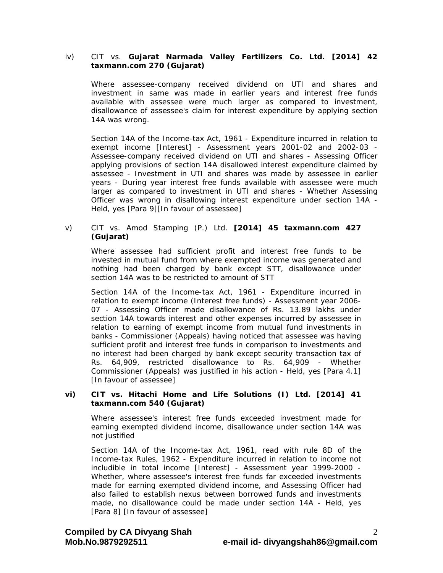# iv) CIT vs. **Gujarat Narmada Valley Fertilizers Co. Ltd. [2014] 42 taxmann.com 270 (Gujarat)**

 Where assessee-company received dividend on UTI and shares and investment in same was made in earlier years and interest free funds available with assessee were much larger as compared to investment, disallowance of assessee's claim for interest expenditure by applying section 14A was wrong.

 Section 14A of the Income-tax Act, 1961 - Expenditure incurred in relation to exempt income [Interest] - Assessment years 2001-02 and 2002-03 - Assessee-company received dividend on UTI and shares - Assessing Officer applying provisions of section 14A disallowed interest expenditure claimed by assessee - Investment in UTI and shares was made by assessee in earlier years - During year interest free funds available with assessee were much larger as compared to investment in UTI and shares - Whether Assessing Officer was wrong in disallowing interest expenditure under section 14A - Held, yes [Para 9][In favour of assessee]

#### v) CIT vs. Amod Stamping (P.) Ltd. **[2014] 45 taxmann.com 427 (Gujarat)**

Where assessee had sufficient profit and interest free funds to be invested in mutual fund from where exempted income was generated and nothing had been charged by bank except STT, disallowance under section 14A was to be restricted to amount of STT

Section 14A of the Income-tax Act, 1961 - Expenditure incurred in relation to exempt income (Interest free funds) - Assessment year 2006- 07 - Assessing Officer made disallowance of Rs. 13.89 lakhs under section 14A towards interest and other expenses incurred by assessee in relation to earning of exempt income from mutual fund investments in banks - Commissioner (Appeals) having noticed that assessee was having sufficient profit and interest free funds in comparison to investments and no interest had been charged by bank except security transaction tax of Rs. 64,909, restricted disallowance to Rs. 64,909 - Whether Commissioner (Appeals) was justified in his action - Held, yes [Para 4.1] [In favour of assessee]

#### **vi) CIT vs. Hitachi Home and Life Solutions (I) Ltd. [2014] 41 taxmann.com 540 (Gujarat)**

 Where assessee's interest free funds exceeded investment made for earning exempted dividend income, disallowance under section 14A was not justified

 Section 14A of the Income-tax Act, 1961, read with rule 8D of the Income-tax Rules, 1962 - Expenditure incurred in relation to income not includible in total income [Interest] - Assessment year 1999-2000 - Whether, where assessee's interest free funds far exceeded investments made for earning exempted dividend income, and Assessing Officer had also failed to establish nexus between borrowed funds and investments made, no disallowance could be made under section 14A - Held, yes [Para 8] [In favour of assessee]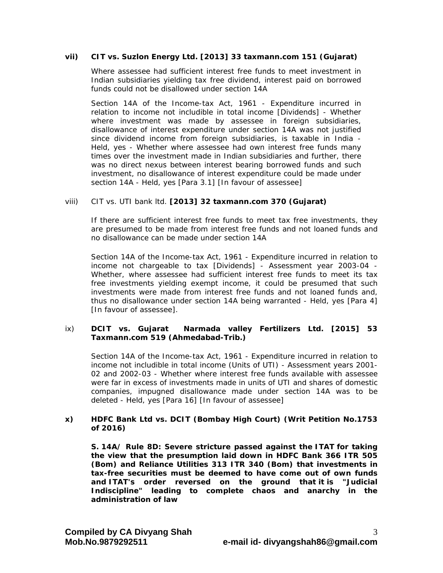## **vii) CIT vs. Suzlon Energy Ltd. [2013] 33 taxmann.com 151 (Gujarat)**

Where assessee had sufficient interest free funds to meet investment in Indian subsidiaries yielding tax free dividend, interest paid on borrowed funds could not be disallowed under section 14A

Section 14A of the Income-tax Act, 1961 - Expenditure incurred in relation to income not includible in total income [Dividends] - Whether where investment was made by assessee in foreign subsidiaries, disallowance of interest expenditure under section 14A was not justified since dividend income from foreign subsidiaries, is taxable in India - Held, yes - Whether where assessee had own interest free funds many times over the investment made in Indian subsidiaries and further, there was no direct nexus between interest bearing borrowed funds and such investment, no disallowance of interest expenditure could be made under section 14A - Held, yes [Para 3.1] [In favour of assessee]

## viii) CIT vs. UTI bank ltd. **[2013] 32 taxmann.com 370 (Gujarat)**

 If there are sufficient interest free funds to meet tax free investments, they are presumed to be made from interest free funds and not loaned funds and no disallowance can be made under section 14A

Section 14A of the Income-tax Act, 1961 - Expenditure incurred in relation to income not chargeable to tax [Dividends] - Assessment year 2003-04 - Whether, where assessee had sufficient interest free funds to meet its tax free investments yielding exempt income, it could be presumed that such investments were made from interest free funds and not loaned funds and, thus no disallowance under section 14A being warranted - Held, yes [Para 4] [In favour of assessee].

# ix) **DCIT vs. Gujarat Narmada valley Fertilizers Ltd. [2015] 53 Taxmann.com 519 (Ahmedabad-Trib.)**

Section 14A of the Income-tax Act, 1961 - Expenditure incurred in relation to income not includible in total income (Units of UTI) - Assessment years 2001- 02 and 2002-03 - Whether where interest free funds available with assessee were far in excess of investments made in units of UTI and shares of domestic companies, impugned disallowance made under section 14A was to be deleted - Held, yes [Para 16] [In favour of assessee]

## **x) HDFC Bank Ltd vs. DCIT (Bombay High Court) (Writ Petition No.1753 of 2016)**

**S. 14A/ Rule 8D: Severe stricture passed against the ITAT for taking the view that the presumption laid down in HDFC Bank 366 ITR 505 (Bom) and Reliance Utilities 313 ITR 340 (Bom) that investments in tax-free securities must be deemed to have come out of own funds and ITAT's order reversed on the ground that it is "Judicial Indiscipline" leading to complete chaos and anarchy in the administration of law**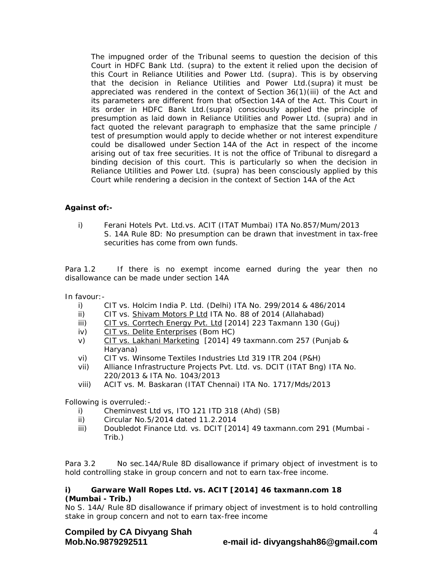The impugned order of the Tribunal seems to question the decision of this Court in HDFC Bank Ltd. (supra) to the extent it relied upon the decision of this Court in Reliance Utilities and Power Ltd. (supra). This is by observing that the decision in Reliance Utilities and Power Ltd.(supra) it must be appreciated was rendered in the context of Section 36(1)(iii) of the Act and its parameters are different from that ofSection 14A of the Act. This Court in its order in HDFC Bank Ltd.(supra) consciously applied the principle of presumption as laid down in Reliance Utilities and Power Ltd. (supra) and in fact quoted the relevant paragraph to emphasize that the same principle / test of presumption would apply to decide whether or not interest expenditure could be disallowed under Section 14A of the Act in respect of the income arising out of tax free securities. It is not the office of Tribunal to disregard a binding decision of this court. This is particularly so when the decision in Reliance Utilities and Power Ltd. (supra) has been consciously applied by this Court while rendering a decision in the context of Section 14A of the Act

# **Against of:-**

i) Ferani Hotels Pvt. Ltd.vs. ACIT (ITAT Mumbai) ITA No.857/Mum/2013 S. 14A Rule 8D: No presumption can be drawn that investment in tax-free securities has come from own funds.

Para 1.2 If there is no exempt income earned during the year then no disallowance can be made under section 14A

In favour:-

- i) CIT vs. Holcim India P. Ltd. (Delhi) ITA No. 299/2014 & 486/2014
- ii) CIT vs. Shivam Motors P Ltd ITA No. 88 of 2014 (Allahabad)
- iii) CIT vs. Corrtech Energy Pvt. Ltd [2014] 223 Taxmann 130 (Guj)
- iv) CIT vs. Delite Enterprises (Bom HC)
- v) CIT vs. Lakhani Marketing [2014] 49 taxmann.com 257 (Punjab & Haryana)
- vi) CIT vs. Winsome Textiles Industries Ltd 319 ITR 204 (P&H)
- vii) Alliance Infrastructure Projects Pvt. Ltd. vs. DCIT (ITAT Bng) ITA No. 220/2013 & ITA No. 1043/2013
- viii) ACIT vs. M. Baskaran (ITAT Chennai) ITA No. 1717/Mds/2013

Following is overruled:-

- i) Cheminvest Ltd vs, ITO 121 ITD 318 (Ahd) (SB)
- ii) Circular No.5/2014 dated 11.2.2014
- iii) Doubledot Finance Ltd. vs. DCIT [2014] 49 taxmann.com 291 (Mumbai Trib.)

Para 3.2 No sec.14A/Rule 8D disallowance if primary object of investment is to hold controlling stake in group concern and not to earn tax-free income.

## **i) Garware Wall Ropes Ltd. vs. ACIT [2014] 46 taxmann.com 18 (Mumbai - Trib.)**

No S. 14A/ Rule 8D disallowance if primary object of investment is to hold controlling stake in group concern and not to earn tax-free income

**Compiled by CA Divyang Shah**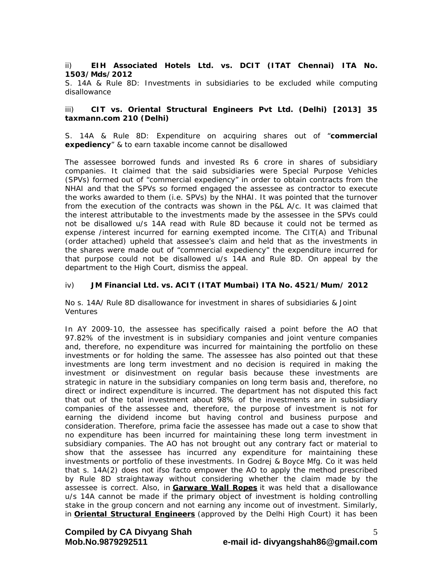#### ii) **EIH Associated Hotels Ltd. vs. DCIT (ITAT Chennai) ITA No. 1503/Mds/2012**

S. 14A & Rule 8D: Investments in subsidiaries to be excluded while computing disallowance

## iii) **CIT vs. Oriental Structural Engineers Pvt Ltd. (Delhi) [2013] 35 taxmann.com 210 (Delhi)**

S. 14A & Rule 8D: Expenditure on acquiring shares out of "**commercial expediency**" & to earn taxable income cannot be disallowed

The assessee borrowed funds and invested Rs 6 crore in shares of subsidiary companies. It claimed that the said subsidiaries were Special Purpose Vehicles (SPVs) formed out of "commercial expediency" in order to obtain contracts from the NHAI and that the SPVs so formed engaged the assessee as contractor to execute the works awarded to them (i.e. SPVs) by the NHAI. It was pointed that the turnover from the execution of the contracts was shown in the P&L A/c. It was claimed that the interest attributable to the investments made by the assessee in the SPVs could not be disallowed u/s 14A read with Rule 8D because it could not be termed as expense /interest incurred for earning exempted income. The CIT(A) and Tribunal (order attached) upheld that assessee's claim and held that as the investments in the shares were made out of "commercial expediency" the expenditure incurred for that purpose could not be disallowed u/s 14A and Rule 8D. On appeal by the department to the High Court, dismiss the appeal.

## iv) **JM Financial Ltd. vs. ACIT (ITAT Mumbai) ITA No. 4521/Mum/ 2012**

No s. 14A/ Rule 8D disallowance for investment in shares of subsidiaries & Joint Ventures

In AY 2009-10, the assessee has specifically raised a point before the AO that 97.82% of the investment is in subsidiary companies and joint venture companies and, therefore, no expenditure was incurred for maintaining the portfolio on these investments or for holding the same. The assessee has also pointed out that these investments are long term investment and no decision is required in making the investment or disinvestment on regular basis because these investments are strategic in nature in the subsidiary companies on long term basis and, therefore, no direct or indirect expenditure is incurred. The department has not disputed this fact that out of the total investment about 98% of the investments are in subsidiary companies of the assessee and, therefore, the purpose of investment is not for earning the dividend income but having control and business purpose and consideration. Therefore, prima facie the assessee has made out a case to show that no expenditure has been incurred for maintaining these long term investment in subsidiary companies. The AO has not brought out any contrary fact or material to show that the assessee has incurred any expenditure for maintaining these investments or portfolio of these investments. In Godrej & Boyce Mfg. Co it was held that s. 14A(2) does not ifso facto empower the AO to apply the method prescribed by Rule 8D straightaway without considering whether the claim made by the assessee is correct. Also, in **Garware Wall Ropes** it was held that a disallowance u/s 14A cannot be made if the primary object of investment is holding controlling stake in the group concern and not earning any income out of investment. Similarly, in **Oriental Structural Engineers** (approved by the Delhi High Court) it has been

**Compiled by CA Divyang Shah** 

# **Mob.No.9879292511 e-mail id- divyangshah86@gmail.com**